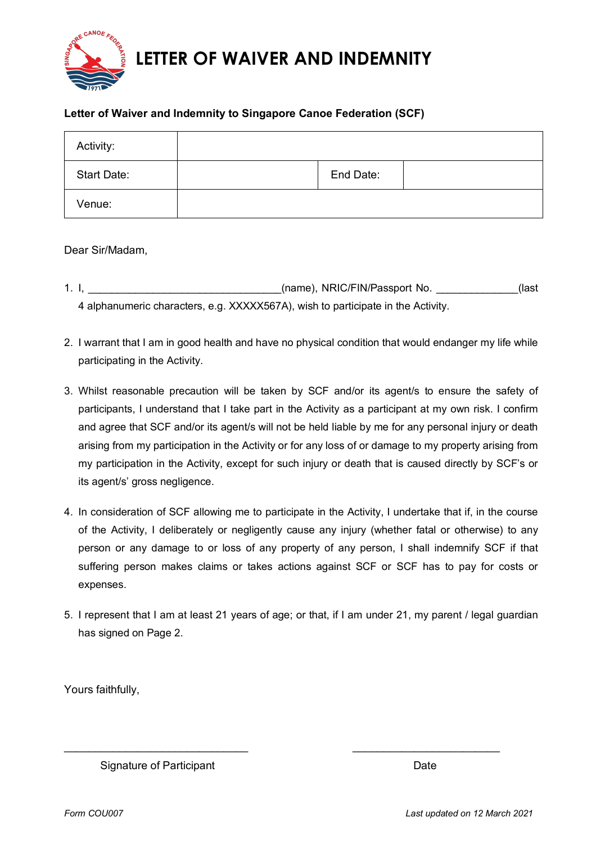

## **Letter of Waiver and Indemnity to Singapore Canoe Federation (SCF)**

| Activity:          |           |  |
|--------------------|-----------|--|
| <b>Start Date:</b> | End Date: |  |
| Venue:             |           |  |

Dear Sir/Madam,

- 1. I, \_\_\_\_\_\_\_\_\_\_\_\_\_\_\_\_\_\_\_\_\_\_\_\_\_\_\_\_\_\_\_\_\_(name), NRIC/FIN/Passport No. \_\_\_\_\_\_\_\_\_\_\_(last 4 alphanumeric characters, e.g. XXXXX567A), wish to participate in the Activity.
- 2. I warrant that I am in good health and have no physical condition that would endanger my life while participating in the Activity.
- 3. Whilst reasonable precaution will be taken by SCF and/or its agent/s to ensure the safety of participants, I understand that I take part in the Activity as a participant at my own risk. I confirm and agree that SCF and/or its agent/s will not be held liable by me for any personal injury or death arising from my participation in the Activity or for any loss of or damage to my property arising from my participation in the Activity, except for such injury or death that is caused directly by SCF's or its agent/s' gross negligence.
- 4. In consideration of SCF allowing me to participate in the Activity, I undertake that if, in the course of the Activity, I deliberately or negligently cause any injury (whether fatal or otherwise) to any person or any damage to or loss of any property of any person, I shall indemnify SCF if that suffering person makes claims or takes actions against SCF or SCF has to pay for costs or expenses.
- 5. I represent that I am at least 21 years of age; or that, if I am under 21, my parent / legal guardian has signed on Page 2.

\_\_\_\_\_\_\_\_\_\_\_\_\_\_\_\_\_\_\_\_\_\_\_\_\_\_\_\_\_\_ \_\_\_\_\_\_\_\_\_\_\_\_\_\_\_\_\_\_\_\_\_\_\_\_

Yours faithfully,

Signature of Participant **Date** Date Date